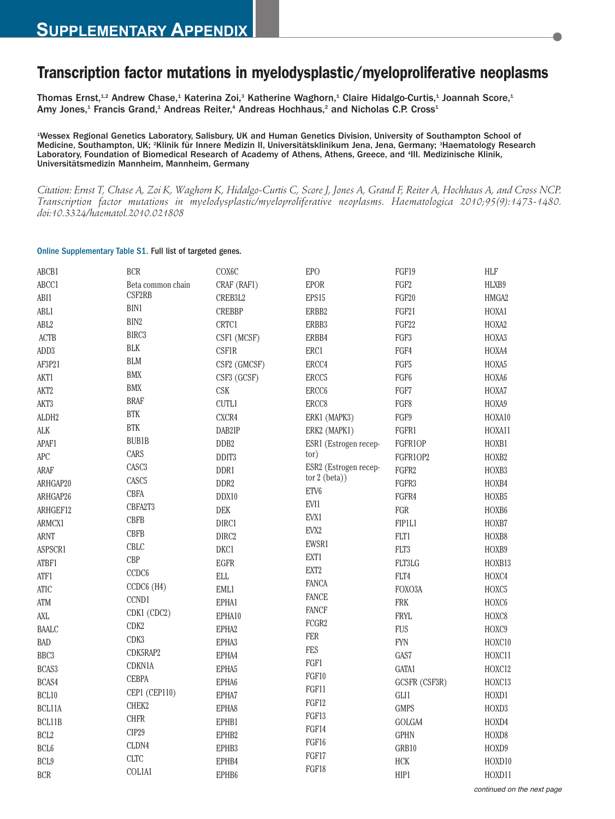## **Transcription factor mutations in myelodysplastic/myeloproliferative neoplasms**

Thomas Ernst,<sup>1,2</sup> Andrew Chase,<sup>1</sup> Katerina Zoi,<sup>3</sup> Katherine Waghorn,<sup>1</sup> Claire Hidalgo-Curtis,<sup>1</sup> Joannah Score,<sup>1</sup> Amy Jones,<sup>1</sup> Francis Grand,<sup>1</sup> Andreas Reiter,<sup>4</sup> Andreas Hochhaus,<sup>2</sup> and Nicholas C.P. Cross<sup>1</sup>

1 Wessex Regional Genetics Laboratory, Salisbury, UK and Human Genetics Division, University of Southampton School of Medicine, Southampton, UK; <sup>2</sup>Klinik für Innere Medizin II, Universitätsklinikum Jena, Jena, Germany; <sup>3</sup>Haematology Research Laboratory, Foundation of Biomedical Research of Academy of Athens, Athens, Greece, and <sup>4</sup>III. Medizinische Klinik, Universitätsmedizin Mannheim, Mannheim, Germany

Citation: Ernst T, Chase A, Zoi K, Waghorn K, Hidalgo-Curtis C, Score J, Jones A, Grand F, Reiter A, Hochhaus A, and Cross NCP. *Transcription factor mutations in myelodysplastic/myeloproliferative neoplasms. Haematologica 2010;95(9):1473-1480. doi:10.3324/haematol.2010.021808*

## Online Supplementary Table S1. Full list of targeted genes.

| ABCB1              | <b>BCR</b>           | COX6C                | <b>EPO</b>            | FGF19            | <b>HLF</b>        |
|--------------------|----------------------|----------------------|-----------------------|------------------|-------------------|
| ABCC1              | Beta common chain    | CRAF (RAF1)          | <b>EPOR</b>           | FGF <sub>2</sub> | HLXB9             |
| ABI1               | CSF2RB               | CREB3L2              | EPS15                 | FGF20            | HMGA2             |
| ABL1               | BIN1                 | <b>CREBBP</b>        | ERBB2                 | FGF21            | HOXA1             |
| ABL <sub>2</sub>   | BIN2                 | CRTC1                | ERBB3                 | FGF22            | HOXA2             |
| <b>ACTB</b>        | BIRC <sub>3</sub>    | CSF1 (MCSF)          | ERBB4                 | FGF3             | HOXA3             |
| ADD3               | <b>BLK</b>           | <b>CSF1R</b>         | ERC1                  | FGF4             | HOXA4             |
| AF3P21             | <b>BLM</b>           | CSF2 (GMCSF)         | ERCC4                 | FGF5             | HOXA5             |
| AKT1               | BMX                  | CSF3 (GCSF)          | ERCC <sub>5</sub>     | FGF <sub>6</sub> | HOXA6             |
| AKT2               | <b>BMX</b>           | <b>CSK</b>           | ERCC <sub>6</sub>     | FGF7             | HOXA7             |
| AKT3               | <b>BRAF</b>          | <b>CUTL1</b>         | ERCC8                 | FGF8             | HOXA9             |
| ALDH2              | $\operatorname{BTK}$ | CXCR4                | ERK1 (MAPK3)          | FGF9             | HOXA10            |
| $\Lambda\text{LK}$ | <b>BTK</b>           | DAB2IP               | ERK2 (MAPK1)          | FGFR1            | HOXA11            |
| APAF1              | <b>BUB1B</b>         | DDB <sub>2</sub>     | ESR1 (Estrogen recep- | FGFR1OP          | HOXB1             |
| APC                | CARS                 | DDIT <sub>3</sub>    | tor)                  | FGFR1OP2         | HOXB2             |
| ARAF               | CASC <sub>3</sub>    | DDR1                 | ESR2 (Estrogen recep- | FGFR2            | HOXB3             |
| ARHGAP20           | CASC <sub>5</sub>    | DDR <sub>2</sub>     | tor $2$ (beta))       | FGFR3            | HOXB4             |
| ARHGAP26           | <b>CBFA</b>          | DDX10                | ETV6                  | FGFR4            | HOXB5             |
| ARHGEF12           | CBFA2T3              | DEK                  | EVI1                  | FGR              | HOXB6             |
| ARMCX1             | <b>CBFB</b>          | DIRC1                | EVX1                  | FIP1L1           | HOXB7             |
| ARNT               | <b>CBFB</b>          | DIRC2                | EVX2                  | FLT1             | HOXB8             |
| ASPSCR1            | CBLC                 | DKC1                 | EWSR1                 | FLT3             | HOXB9             |
| ATBF1              | <b>CBP</b>           | <b>EGFR</b>          | EXT1                  | FLT3LG           | HOXB13            |
| ATF1               | CCDC <sub>6</sub>    | $\operatorname{ELL}$ | EXT <sub>2</sub>      | FLT4             | HOXC4             |
| <b>ATIC</b>        | CCDC6 (H4)           | EML1                 | <b>FANCA</b>          | FOXO3A           | HOXC5             |
| ATM                | CCND1                | EPHA1                | <b>FANCE</b>          | <b>FRK</b>       | HOXC6             |
| $\Lambda\!\rm{XL}$ | CDK1 (CDC2)          | EPHA10               | <b>FANCF</b>          | <b>FRYL</b>      | HOXC8             |
| <b>BAALC</b>       | CDK2                 | EPHA <sub>2</sub>    | FCGR2                 | <b>FUS</b>       | HOXC9             |
| <b>BAD</b>         | CDK3                 | EPHA3                | <b>FER</b>            | <b>FYN</b>       | HOXC10            |
| BBC <sub>3</sub>   | CDK5RAP2             | EPHA4                | FES                   | GAS7             | HOXC11            |
| BCAS3              | CDKN1A               | EPHA5                | FGF1                  | GATA1            | HOXC12            |
| BCAS4              | <b>CEBPA</b>         | EPHA <sub>6</sub>    | FGF10                 | GCSFR (CSF3R)    | HOXC13            |
| BCL10              | CEP1 (CEP110)        | EPHA7                | FGF11                 | GLI1             | HOXD1             |
| BCL11A             | CHEK2                | EPHA8                | FGF12                 | <b>GMPS</b>      | HOXD <sub>3</sub> |
| BCL11B             | <b>CHFR</b>          | EPHB1                | FGF13                 | GOLGA4           | HOXD4             |
| BCL <sub>2</sub>   | CIP29                | EPHB2                | FGF14                 | <b>GPHN</b>      | HOXD8             |
| BCL <sub>6</sub>   | CLDN4                | EPHB3                | FGF16                 | GRB10            | HOXD9             |
| BCL9               | <b>CLTC</b>          | EPHB4                | FGF17                 | <b>HCK</b>       | HOXD10            |
| <b>BCR</b>         | <b>COLIA1</b>        | EPHB6                | FGF18                 | HIP1             | HOXD11            |
|                    |                      |                      |                       |                  |                   |

continued on the next page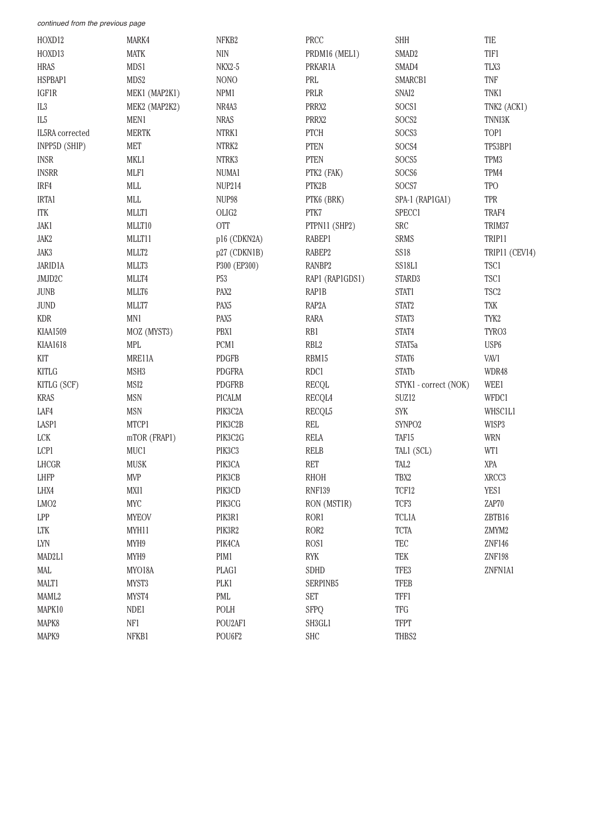| HOXD12                      | MARK4            | NFKB2            | PRCC             | SHH                   | TIE              |
|-----------------------------|------------------|------------------|------------------|-----------------------|------------------|
| HOXD13                      | <b>MATK</b>      | $\rm NIN$        | PRDM16 (MEL1)    | SMAD <sub>2</sub>     | TIF1             |
| <b>HRAS</b>                 | MDS1             | <b>NKX2-5</b>    | PRKAR1A          | SMAD4                 | TLX3             |
| HSPBAP1                     | MDS2             | <b>NONO</b>      | PRL              | SMARCB1               | TNF              |
| IGF1R                       | MEK1 (MAP2K1)    | NPM1             | PRLR             | SNAI2                 | TNK1             |
| IL3                         | MEK2 (MAP2K2)    | NR4A3            | PRRX2            | SOCS1                 | TNK2 (ACK1)      |
| $\rm IL5$                   | MEN1             | <b>NRAS</b>      | PRRX2            | SOCS2                 | TNNI3K           |
| IL5RA corrected             | <b>MERTK</b>     | NTRK1            | PTCH             | SOCS3                 | TOP1             |
| INPP5D (SHIP)               | <b>MET</b>       | NTRK2            | <b>PTEN</b>      | SOCS4                 | TP53BP1          |
| <b>INSR</b>                 | MKL1             | NTRK3            | <b>PTEN</b>      | SOCS5                 | TPM3             |
| <b>INSRR</b>                | MLF1             | NUMA1            | PTK2 (FAK)       | SOCS6                 | TPM4             |
| IRF4                        | MLL              | <b>NUP214</b>    | PTK2B            | SOCS7                 | <b>TPO</b>       |
| IRTA1                       | $\text{MLL}$     | NUP98            | PTK6 (BRK)       | SPA-1 (RAP1GA1)       | TPR              |
| <b>ITK</b>                  | MLLT1            | OLIG2            | PTK7             | SPECC1                | TRAF4            |
| JAK1                        | MLLT10           | <b>OTT</b>       | PTPN11 (SHP2)    | <b>SRC</b>            | TRIM37           |
| JAK2                        | MLLT11           | p16 (CDKN2A)     | RABEP1           | SRMS                  | TRIP11           |
| JAK3                        | MLLT2            | p27 (CDKN1B)     | RABEP2           | <b>SS18</b>           | TRIP11 (CEV14)   |
| JARID1A                     | MLLT3            | P300 (EP300)     | RANBP2           | SS18L1                | TSC1             |
| JMJD2C                      | MLLT4            | P53              | RAP1 (RAP1GDS1)  | STARD3                | TSC1             |
| <b>JUNB</b>                 | MLLT6            | PAX <sub>2</sub> | RAP1B            | STAT1                 | TSC <sub>2</sub> |
| JUND                        | MLLT7            | PAX <sub>5</sub> | RAP2A            | STAT2                 | TXK              |
| <b>KDR</b>                  | MN1              | PAX <sub>5</sub> | RARA             | STAT3                 | TYK2             |
| KIAA1509                    | MOZ (MYST3)      | PBX1             | RB1              | STAT4                 | TYRO3            |
| KIAA1618                    | MPL              | PCM1             | RBL <sub>2</sub> | STAT <sub>5a</sub>    | USP <sub>6</sub> |
| KIT                         | MRE11A           | PDGFB            | RBM15            | STAT6                 | VAV1             |
| <b>KITLG</b>                | MSH <sub>3</sub> | <b>PDGFRA</b>    | RDC1             | <b>STATb</b>          | WDR48            |
| KITLG (SCF)                 | MSI2             | <b>PDGFRB</b>    | <b>RECQL</b>     | STYK1 - correct (NOK) | WEE1             |
| <b>KRAS</b>                 | <b>MSN</b>       | PICALM           | RECQL4           | SUZ12                 | WFDC1            |
| LAF4                        | <b>MSN</b>       | PIK3C2A          | RECQL5           | SYK                   | WHSC1L1          |
| LASP1                       | MTCP1            | PIK3C2B          | REL              | SYNPO <sub>2</sub>    | WISP3            |
| ${ \mathop{ \textrm{LCK}}}$ | mTOR (FRAP1)     | PIK3C2G          | <b>RELA</b>      | TAF15                 | <b>WRN</b>       |
| LCP1                        | MUC1             | PIK3C3           | <b>RELB</b>      | TAL1 (SCL)            | WT1              |
| LHCGR                       | MUSK             | PIK3CA           | RET              | TAL <sub>2</sub>      | XPA              |
| LHFP                        | <b>MVP</b>       | PIK3CB           | <b>RHOH</b>      | TBX2                  | XRCC3            |
| LHX4                        | MXI1             | PIK3CD           | <b>RNF139</b>    | TCF12                 | YES1             |
| LMO2                        | <b>MYC</b>       | PIK3CG           | RON (MST1R)      | TCF3                  | ZAP70            |
| LPP                         | <b>MYEOV</b>     | PIK3R1           | ROR1             | <b>TCL1A</b>          | ZBTB16           |
| LTK                         | MYH11            | PIK3R2           | ROR <sub>2</sub> | <b>TCTA</b>           | ZMYM2            |
| $\text{LYN}$                | MYH9             | PIK4CA           | ROS1             | TEC                   | ZNF146           |
| MAD2L1                      | MYH9             | PIM1             | RYK              | TEK                   | <b>ZNF198</b>    |
| MAL                         | MYO18A           | PLAG1            | SDHD             | TFE3                  | ZNFN1A1          |
| MALT1                       | MYST3            | PLK1             | SERPINB5         | <b>TFEB</b>           |                  |
| MAML2                       | MYST4            | PML              | <b>SET</b>       | TFF1                  |                  |
| MAPK10                      | NDE1             | POLH             | SFPQ             | TFG                   |                  |
| MAPK8                       | NF1              | POU2AF1          | SH3GL1           | <b>TFPT</b>           |                  |
| MAPK9                       | NFKB1            | POU6F2           | <b>SHC</b>       | THBS2                 |                  |
|                             |                  |                  |                  |                       |                  |

continued from the previous page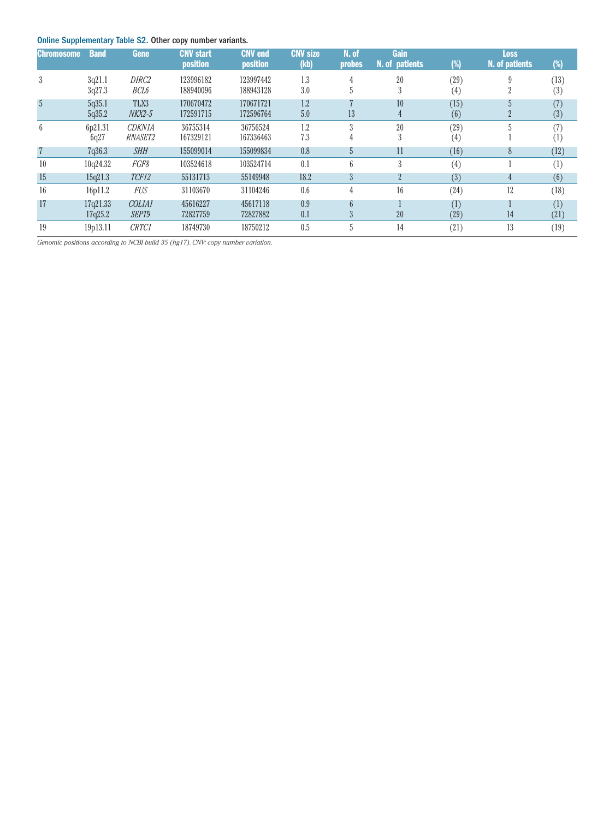## Online Supplementary Table S2. Other copy number variants.

| . .<br><b>Chromosome</b> | <b>Band</b>      | Gene                      | <b>CNV start</b><br>position | <b>CNV</b> end<br>position | <b>CNV size</b><br>(kb) | N. of<br><b>probes</b> | Gain<br>N. of patients | $(\%)$      | <b>Loss</b><br>N. of patients | $(\%)$      |
|--------------------------|------------------|---------------------------|------------------------------|----------------------------|-------------------------|------------------------|------------------------|-------------|-------------------------------|-------------|
| 3                        | 3q21.1<br>3q27.3 | DIRC <sub>2</sub><br>BCL6 | 123996182<br>188940096       | 123997442<br>188943128     | 1.3<br>3.0              |                        | 20<br>3                | (29)<br>(4) |                               | (13)<br>(3) |
| 5                        | 5q35.1<br>5q35.2 | TLX3<br>$NKX2-5$          | 170670472<br>172591715       | 170671721<br>172596764     | 1.2<br>5.0              | 13                     | 10<br>4                | (15)<br>(6) | $\overline{a}$                | (7)<br>(3)  |
| 6                        | 6p21.31<br>6q27  | <b>CDKN1A</b><br>RNASET2  | 36755314<br>167329121        | 36756524<br>167336463      | 1.2<br>7.3              | 3<br>4                 | 20<br>3                | (29)<br>(4) |                               | (7)<br>(1)  |
| $\overline{7}$           | 7q36.3           | <b>SHH</b>                | 155099014                    | 155099834                  | 0.8                     | $\mathfrak{h}$         | 11                     | (16)        | 8                             | (12)        |
| 10                       | 10q24.32         | FGF8                      | 103524618                    | 103524714                  | 0.1                     | 6                      | 3                      | (4)         |                               | (1)         |
| 15                       | 15q21.3          | TCF12                     | 55131713                     | 55149948                   | 18.2                    | 3                      | $\overline{2}$         | (3)         | 4                             | (6)         |
| 16                       | 16p11.2          | <b>FUS</b>                | 31103670                     | 31104246                   | 0.6                     | 4                      | 16                     | (24)        | 12                            | (18)        |
| 17                       | 17q21.33         | COLIAI                    | 45616227                     | 45617118                   | 0.9                     | $6 \overline{6}$       |                        | (1)         |                               | (1)         |
|                          | 17q25.2          | SEPT9                     | 72827759                     | 72827882                   | 0.1                     | 3                      | 20                     | (29)        | 14                            | (21)        |
| 19                       | 19p13.11         | <b>CRTC1</b>              | 18749730                     | 18750212                   | 0.5                     |                        | 14                     | (21)        | 13                            | (19)        |

*Genomic positions according to NCBI build 35 (hg17).CNV: copy number variation.*